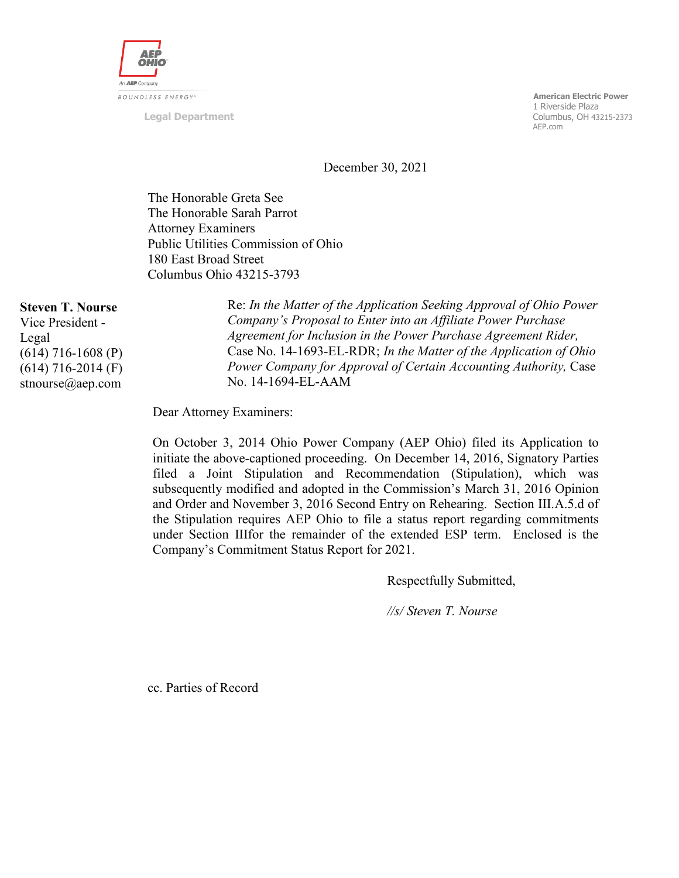

**Legal Department**

 **American Electric Power** n 1 Riverside Plaza (1999) and the state of the state of the state of the state  $1$  Riverside Plaza Columbus, OH 43215-2373 AEP.com

December 30, 2021

The Honorable Greta See The Honorable Sarah Parrot Attorney Examiners Public Utilities Commission of Ohio 180 East Broad Street Columbus Ohio 43215-3793

#### **Steven T. Nourse**

Vice President - Legal (614) 716-1608 (P) (614) 716-2014 (F) stnourse@aep.com

Re: *In the Matter of the Application Seeking Approval of Ohio Power Company's Proposal to Enter into an Affiliate Power Purchase Agreement for Inclusion in the Power Purchase Agreement Rider,*  Case No. 14-1693-EL-RDR; *In the Matter of the Application of Ohio Power Company for Approval of Certain Accounting Authority,* Case No. 14-1694-EL-AAM

Dear Attorney Examiners:

On October 3, 2014 Ohio Power Company (AEP Ohio) filed its Application to initiate the above-captioned proceeding. On December 14, 2016, Signatory Parties filed a Joint Stipulation and Recommendation (Stipulation), which was subsequently modified and adopted in the Commission's March 31, 2016 Opinion and Order and November 3, 2016 Second Entry on Rehearing. Section III.A.5.d of the Stipulation requires AEP Ohio to file a status report regarding commitments under Section IIIfor the remainder of the extended ESP term. Enclosed is the Company's Commitment Status Report for 2021.

Respectfully Submitted,

*//s/ Steven T. Nourse*

cc. Parties of Record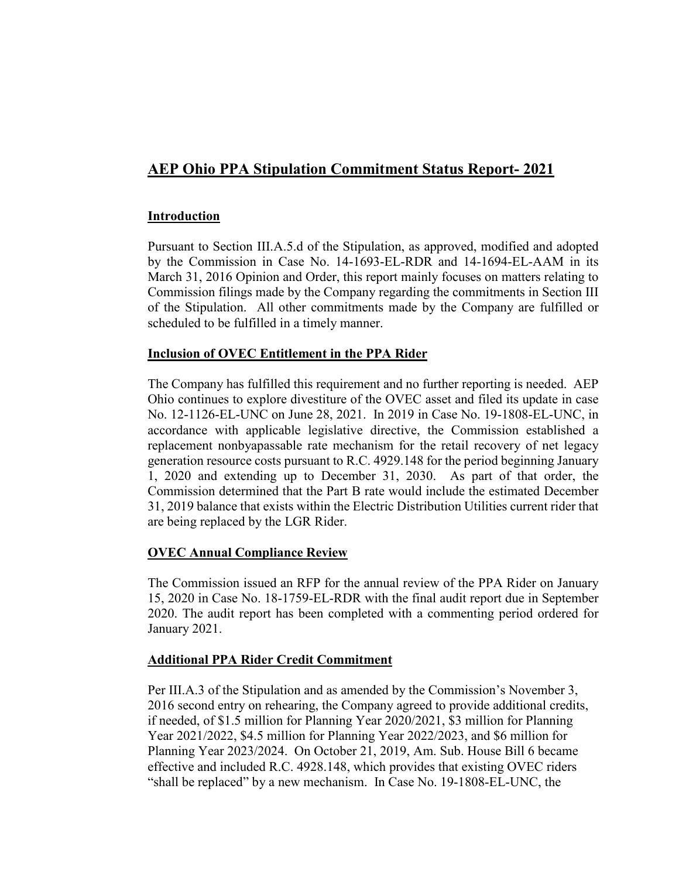# **AEP Ohio PPA Stipulation Commitment Status Report- 2021**

## **Introduction**

Pursuant to Section III.A.5.d of the Stipulation, as approved, modified and adopted by the Commission in Case No. 14-1693-EL-RDR and 14-1694-EL-AAM in its March 31, 2016 Opinion and Order, this report mainly focuses on matters relating to Commission filings made by the Company regarding the commitments in Section III of the Stipulation. All other commitments made by the Company are fulfilled or scheduled to be fulfilled in a timely manner.

#### **Inclusion of OVEC Entitlement in the PPA Rider**

The Company has fulfilled this requirement and no further reporting is needed. AEP Ohio continues to explore divestiture of the OVEC asset and filed its update in case No. 12-1126-EL-UNC on June 28, 2021. In 2019 in Case No. 19-1808-EL-UNC, in accordance with applicable legislative directive, the Commission established a replacement nonbyapassable rate mechanism for the retail recovery of net legacy generation resource costs pursuant to R.C. 4929.148 for the period beginning January 1, 2020 and extending up to December 31, 2030. As part of that order, the Commission determined that the Part B rate would include the estimated December 31, 2019 balance that exists within the Electric Distribution Utilities current rider that are being replaced by the LGR Rider.

## **OVEC Annual Compliance Review**

The Commission issued an RFP for the annual review of the PPA Rider on January 15, 2020 in Case No. 18-1759-EL-RDR with the final audit report due in September 2020. The audit report has been completed with a commenting period ordered for January 2021.

#### **Additional PPA Rider Credit Commitment**

Per III.A.3 of the Stipulation and as amended by the Commission's November 3, 2016 second entry on rehearing, the Company agreed to provide additional credits, if needed, of \$1.5 million for Planning Year 2020/2021, \$3 million for Planning Year 2021/2022, \$4.5 million for Planning Year 2022/2023, and \$6 million for Planning Year 2023/2024. On October 21, 2019, Am. Sub. House Bill 6 became effective and included R.C. 4928.148, which provides that existing OVEC riders "shall be replaced" by a new mechanism. In Case No. 19-1808-EL-UNC, the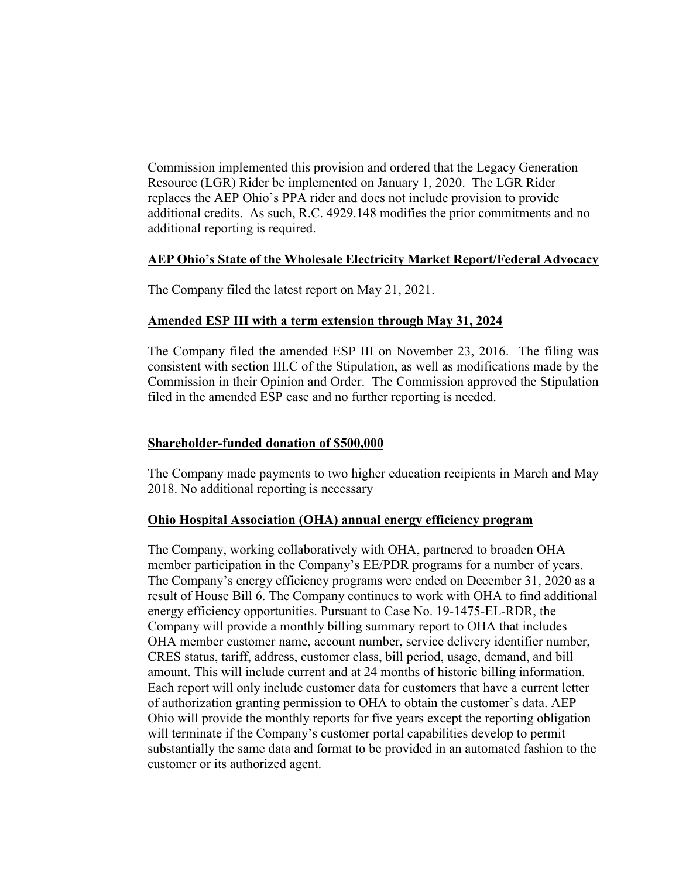Commission implemented this provision and ordered that the Legacy Generation Resource (LGR) Rider be implemented on January 1, 2020. The LGR Rider replaces the AEP Ohio's PPA rider and does not include provision to provide additional credits. As such, R.C. 4929.148 modifies the prior commitments and no additional reporting is required.

#### **AEP Ohio's State of the Wholesale Electricity Market Report/Federal Advocacy**

The Company filed the latest report on May 21, 2021.

#### **Amended ESP III with a term extension through May 31, 2024**

The Company filed the amended ESP III on November 23, 2016. The filing was consistent with section III.C of the Stipulation, as well as modifications made by the Commission in their Opinion and Order. The Commission approved the Stipulation filed in the amended ESP case and no further reporting is needed.

### **Shareholder-funded donation of \$500,000**

The Company made payments to two higher education recipients in March and May 2018. No additional reporting is necessary

#### **Ohio Hospital Association (OHA) annual energy efficiency program**

The Company, working collaboratively with OHA, partnered to broaden OHA member participation in the Company's EE/PDR programs for a number of years. The Company's energy efficiency programs were ended on December 31, 2020 as a result of House Bill 6. The Company continues to work with OHA to find additional energy efficiency opportunities. Pursuant to Case No. 19-1475-EL-RDR, the Company will provide a monthly billing summary report to OHA that includes OHA member customer name, account number, service delivery identifier number, CRES status, tariff, address, customer class, bill period, usage, demand, and bill amount. This will include current and at 24 months of historic billing information. Each report will only include customer data for customers that have a current letter of authorization granting permission to OHA to obtain the customer's data. AEP Ohio will provide the monthly reports for five years except the reporting obligation will terminate if the Company's customer portal capabilities develop to permit substantially the same data and format to be provided in an automated fashion to the customer or its authorized agent.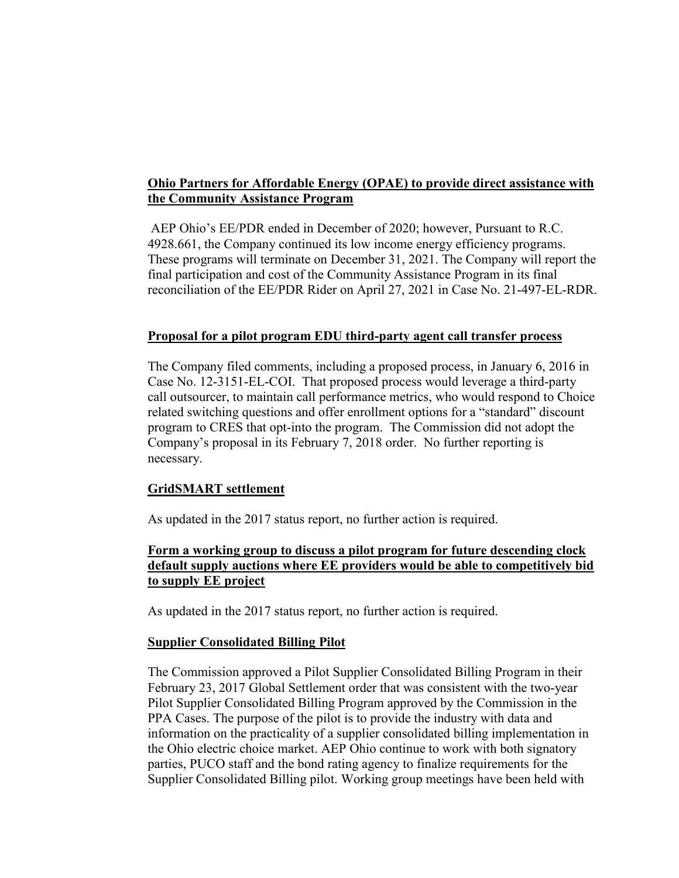## **Ohio Partners for Affordable Energy (OPAE) to provide direct assistance with the Community Assistance Program**

AEP Ohio's EE/PDR ended in December of 2020; however, Pursuant to R.C. 4928.661, the Company continued its low income energy efficiency programs. These programs will terminate on December 31, 2021. The Company will report the final participation and cost of the Community Assistance Program in its final reconciliation of the EE/PDR Rider on April 27, 2021 in Case No. 21-497-EL-RDR.

#### **Proposal for a pilot program EDU third-party agent call transfer process**

The Company filed comments, including a proposed process, in January 6, 2016 in Case No. 12-3151-EL-COI. That proposed process would leverage a third-party call outsourcer, to maintain call performance metrics, who would respond to Choice related switching questions and offer enrollment options for a "standard" discount program to CRES that opt-into the program. The Commission did not adopt the Company's proposal in its February 7, 2018 order. No further reporting is necessary.

#### **GridSMART settlement**

As updated in the 2017 status report, no further action is required.

## **Form a working group to discuss a pilot program for future descending clock default supply auctions where EE providers would be able to competitively bid to supply EE project**

As updated in the 2017 status report, no further action is required.

#### **Supplier Consolidated Billing Pilot**

The Commission approved a Pilot Supplier Consolidated Billing Program in their February 23, 2017 Global Settlement order that was consistent with the two-year Pilot Supplier Consolidated Billing Program approved by the Commission in the PPA Cases. The purpose of the pilot is to provide the industry with data and information on the practicality of a supplier consolidated billing implementation in the Ohio electric choice market. AEP Ohio continue to work with both signatory parties, PUCO staff and the bond rating agency to finalize requirements for the Supplier Consolidated Billing pilot. Working group meetings have been held with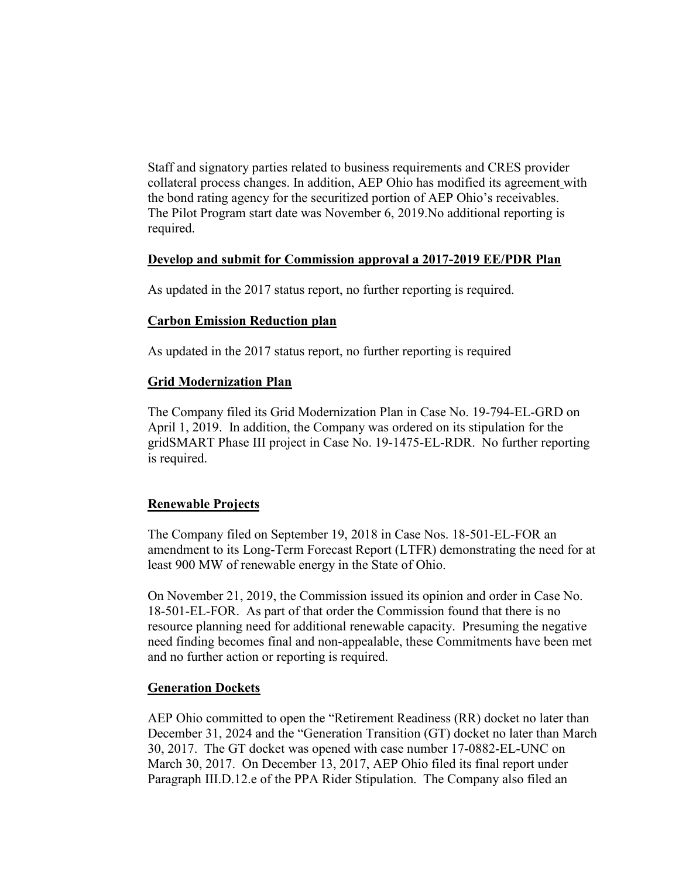Staff and signatory parties related to business requirements and CRES provider collateral process changes. In addition, AEP Ohio has modified its agreement with the bond rating agency for the securitized portion of AEP Ohio's receivables. The Pilot Program start date was November 6, 2019.No additional reporting is required.

#### **Develop and submit for Commission approval a 2017-2019 EE/PDR Plan**

As updated in the 2017 status report, no further reporting is required.

#### **Carbon Emission Reduction plan**

As updated in the 2017 status report, no further reporting is required

## **Grid Modernization Plan**

The Company filed its Grid Modernization Plan in Case No. 19-794-EL-GRD on April 1, 2019. In addition, the Company was ordered on its stipulation for the gridSMART Phase III project in Case No. 19-1475-EL-RDR. No further reporting is required.

## **Renewable Projects**

The Company filed on September 19, 2018 in Case Nos. 18-501-EL-FOR an amendment to its Long-Term Forecast Report (LTFR) demonstrating the need for at least 900 MW of renewable energy in the State of Ohio.

On November 21, 2019, the Commission issued its opinion and order in Case No. 18-501-EL-FOR. As part of that order the Commission found that there is no resource planning need for additional renewable capacity. Presuming the negative need finding becomes final and non-appealable, these Commitments have been met and no further action or reporting is required.

#### **Generation Dockets**

AEP Ohio committed to open the "Retirement Readiness (RR) docket no later than December 31, 2024 and the "Generation Transition (GT) docket no later than March 30, 2017. The GT docket was opened with case number 17-0882-EL-UNC on March 30, 2017. On December 13, 2017, AEP Ohio filed its final report under Paragraph III.D.12.e of the PPA Rider Stipulation. The Company also filed an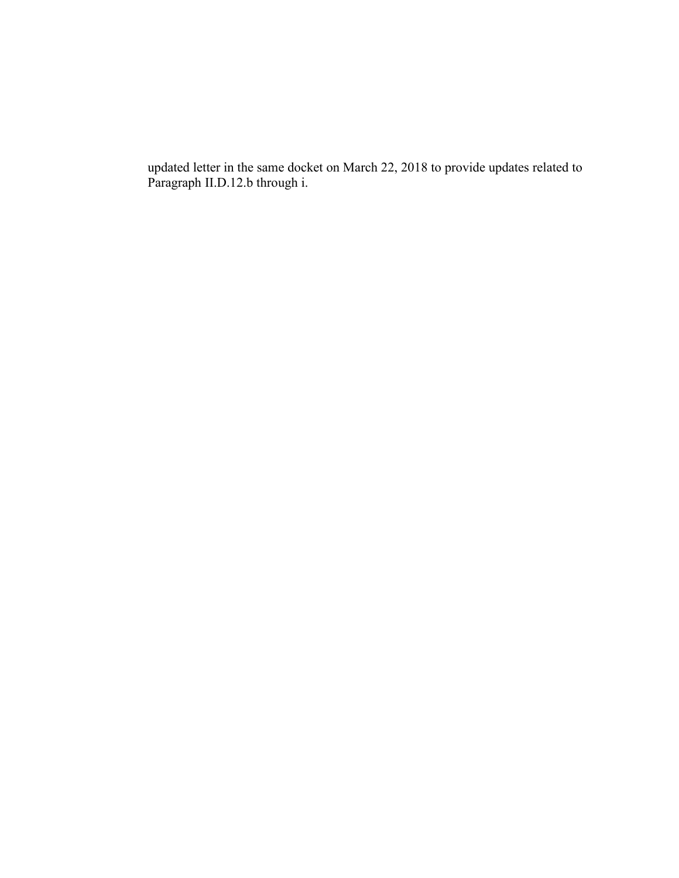updated letter in the same docket on March 22, 2018 to provide updates related to Paragraph II.D.12.b through i.